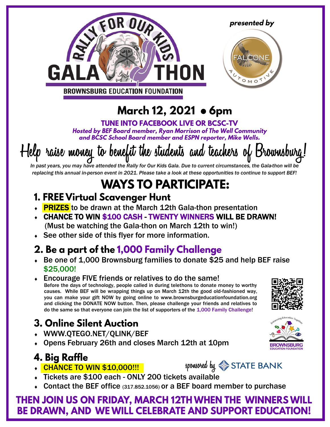



BROWNSBURG EDUCATION FOUNDATION

# March 12, 2021 • 6pm

**TUNE INTO FACEBOOK LIVE OR BCSC-TV** Hosted by BEF Board member, Ryan Morrison of The Well Community and BCSC School Board member and ESPN reporter, Mike Wells.

# Help raise money to benefit the students and teachers of Brownsburg!

*In past years, you may have attended the Rally for Our Kids Gala. Due to current circumstances, the Gala-thon will be replacing this annual in-person event in 2021. Please take a look at these opportunities to continue to support BEF!*

# **WAYS TO PARTICIPATE:**

#### 1. FREE Virtual Scavenger Hunt

- **PRIZES** to be drawn at the March 12th Gala-thon presentation
- CHANCE TO WIN \$100 CASH TWENTY WINNERS WILL BE DRAWN! (Must be watching the Gala-thon on March 12th to win!)
- See other side of this flyer for more information.

#### 2. Be a part of the 1,000 Family Challenge

- ◆ Be one of 1,000 Brownsburg families to donate \$25 and help BEF raise \$25,000!
- $\overline{\bullet}$  Encourage FIVE friends or relatives to do the same! Before the days of technology, people called in during telethons to donate money to worthy causes. While BEF will be wrapping things up on March 12th the good old-fashioned way, you can make your gift NOW by going online to www.brownsburgeducationfoundation.org and clicking the DONATE NOW button. Then, please challenge your friends and relatives to do the same so that everyone can join the list of supporters of the 1,000 Family Challenge!

### **3. Online Silent Auction**

- WWW.QTEGO.NET/QLINK/BEF
- Opens February 26th and closes March 12th at 10pm

#### **4. Big Raffle**

- CHANCE TO WIN \$10,000!!!
- Tickets are \$100 each ONLY 200 tickets available
- Contact the BEF office (317.852.1056) or a BEF board member to purchase

#### THEN JOIN US ON FRIDAY, MARCH 12TH WHEN THE WINNERS WILL BE DRAWN, AND WE WILL CELEBRATE AND SUPPORT EDUCATION!







presented by